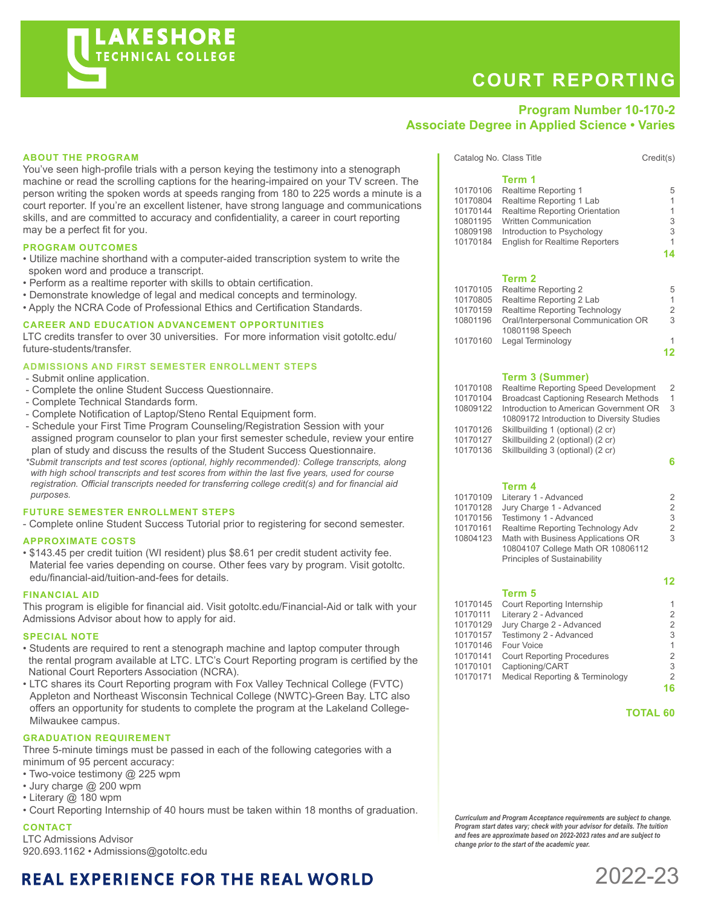# **COURT REPORTING**

### **Program Number 10-170-2 Associate Degree in Applied Science • Varies**

#### **ABOUT THE PROGRAM**

You've seen high-profile trials with a person keying the testimony into a stenograph machine or read the scrolling captions for the hearing-impaired on your TV screen. The person writing the spoken words at speeds ranging from 180 to 225 words a minute is a court reporter. If you're an excellent listener, have strong language and communications skills, and are committed to accuracy and confidentiality, a career in court reporting may be a perfect fit for you.

#### **PROGRAM OUTCOMES**

- Utilize machine shorthand with a computer-aided transcription system to write the spoken word and produce a transcript.
- Perform as a realtime reporter with skills to obtain certification.
- Demonstrate knowledge of legal and medical concepts and terminology.
- Apply the NCRA Code of Professional Ethics and Certification Standards.

#### **CAREER AND EDUCATION ADVANCEMENT OPPORTUNITIES**

LTC credits transfer to over 30 universities. For more information visit gotoltc.edu/ future-students/transfer.

#### **ADMISSIONS AND FIRST SEMESTER ENROLLMENT STEPS**

- Submit online application.
- Complete the online Student Success Questionnaire.
- Complete Technical Standards form.
- Complete Notification of Laptop/Steno Rental Equipment form.
- Schedule your First Time Program Counseling/Registration Session with your assigned program counselor to plan your first semester schedule, review your entire plan of study and discuss the results of the Student Success Questionnaire.
- *\*Submit transcripts and test scores (optional, highly recommended): College transcripts, along with high school transcripts and test scores from within the last five years, used for course registration. Official transcripts needed for transferring college credit(s) and for financial aid purposes.*

#### **FUTURE SEMESTER ENROLLMENT STEPS**

- Complete online Student Success Tutorial prior to registering for second semester.

#### **APPROXIMATE COSTS**

• \$143.45 per credit tuition (WI resident) plus \$8.61 per credit student activity fee. Material fee varies depending on course. Other fees vary by program. Visit gotoltc. edu/financial-aid/tuition-and-fees for details.

#### **FINANCIAL AID**

This program is eligible for financial aid. Visit gotoltc.edu/Financial-Aid or talk with your Admissions Advisor about how to apply for aid.

#### **SPECIAL NOTE**

- Students are required to rent a stenograph machine and laptop computer through the rental program available at LTC. LTC's Court Reporting program is certified by the National Court Reporters Association (NCRA).
- LTC shares its Court Reporting program with Fox Valley Technical College (FVTC) Appleton and Northeast Wisconsin Technical College (NWTC)-Green Bay. LTC also offers an opportunity for students to complete the program at the Lakeland College-Milwaukee campus.

#### **GRADUATION REQUIREMENT**

Three 5-minute timings must be passed in each of the following categories with a minimum of 95 percent accuracy:

- Two-voice testimony @ 225 wpm
- Jury charge @ 200 wpm
- Literary @ 180 wpm

• Court Reporting Internship of 40 hours must be taken within 18 months of graduation.

#### **CONTACT**

LTC Admissions Advisor 920.693.1162 • Admissions@gotoltc.edu

## **REAL EXPERIENCE FOR THE REAL WORLD**

|          | Term 1                                                 |    |
|----------|--------------------------------------------------------|----|
| 10170106 | Realtime Reporting 1                                   | 5  |
| 10170804 | Realtime Reporting 1 Lab                               | 1  |
| 10170144 | <b>Realtime Reporting Orientation</b>                  | 1  |
| 10801195 | <b>Written Communication</b>                           | 3  |
| 10809198 | Introduction to Psychology                             | 3  |
| 10170184 | <b>English for Realtime Reporters</b>                  | 1  |
|          |                                                        | 14 |
|          | Term 2                                                 |    |
| 10170105 | Realtime Reporting 2                                   | 5  |
| 10170805 | Realtime Reporting 2 Lab                               | 1  |
| 10170159 | Realtime Reporting Technology                          | 2  |
| 10801196 | Oral/Interpersonal Communication OR<br>10801198 Speech | 3  |

Catalog No. Class Title Credit(s)

#### **Term 3 (Summer)**

| 10170108 | Realtime Reporting Speed Development         | $\mathcal{P}$ |
|----------|----------------------------------------------|---------------|
| 10170104 | <b>Broadcast Captioning Research Methods</b> | 1             |
| 10809122 | Introduction to American Government OR       | 3             |
|          | 10809172 Introduction to Diversity Studies   |               |
| 10170126 | Skillbuilding 1 (optional) (2 cr)            |               |
| 10170127 | Skillbuilding 2 (optional) (2 cr)            |               |
| 10170136 | Skillbuilding 3 (optional) (2 cr)            |               |
|          |                                              | հ             |
|          |                                              |               |

10170160 Legal Terminology 1 **12**

#### **Term 4**

| 10170109 | Literary 1 - Advanced              | 2 |
|----------|------------------------------------|---|
| 10170128 | Jury Charge 1 - Advanced           | 2 |
| 10170156 | Testimony 1 - Advanced             | 3 |
| 10170161 | Realtime Reporting Technology Adv  | 2 |
| 10804123 | Math with Business Applications OR | 3 |
|          | 10804107 College Math OR 10806112  |   |
|          | Principles of Sustainability       |   |

#### **12 Term 5**

| 10170145 | Court Reporting Internship        | 1              |
|----------|-----------------------------------|----------------|
| 10170111 | Literary 2 - Advanced             | $\overline{2}$ |
| 10170129 | Jury Charge 2 - Advanced          | $\overline{2}$ |
| 10170157 | Testimony 2 - Advanced            | 3              |
| 10170146 | Four Voice                        | 1              |
| 10170141 | <b>Court Reporting Procedures</b> | $\overline{2}$ |
| 10170101 | Captioning/CART                   | 3              |
| 10170171 | Medical Reporting & Terminology   | $\overline{2}$ |
|          |                                   | 16             |
|          |                                   |                |

#### **TOTAL 60**

*Curriculum and Program Acceptance requirements are subject to change. Program start dates vary; check with your advisor for details. The tuition and fees are approximate based on 2022-2023 rates and are subject to change prior to the start of the academic year.*